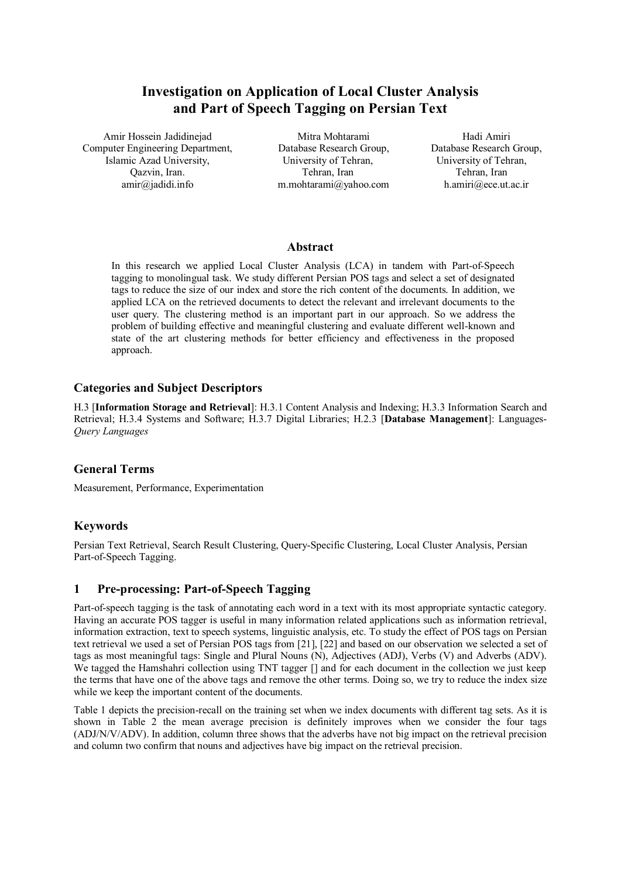# **Investigation on Application of Local Cluster Analysis and Part of Speech Tagging on Persian Text**

Amir Hossein Jadidinejad Mitra Mohtarami Mahali Amiri Computer Engineering Department, Islamic Azad University, Qazvin, Iran. [amir@jadidi.info](mailto:amir:@jadidi.info)

Database Research Group, University of Tehran, Tehran, Iran m.mohtarami@yahoo.com Database Research Group, University of Tehran, Tehran, Iran h.amiri@ece.ut.ac.ir

#### **Abstract**

In this research we applied Local Cluster Analysis (LCA) in tandem with Part-of-Speech tagging to monolingual task. We study different Persian POS tags and select a set of designated tags to reduce the size of our index and store the rich content of the documents. In addition, we applied LCA on the retrieved documents to detect the relevant and irrelevant documents to the user query. The clustering method is an important part in our approach. So we address the problem of building effective and meaningful clustering and evaluate different well-known and state of the art clustering methods for better efficiency and effectiveness in the proposed approach.

# **Categories and Subject Descriptors**

H.3 [**Information Storage and Retrieval**]: H.3.1 Content Analysis and Indexing; H.3.3 Information Search and Retrieval; H.3.4 Systems and Software; H.3.7 Digital Libraries; H.2.3 [**Database Management**]: Languages-*Query Languages*

# **General Terms**

Measurement, Performance, Experimentation

# **Keywords**

Persian Text Retrieval, Search Result Clustering, Query-Specific Clustering, Local Cluster Analysis, Persian Part-of-Speech Tagging.

# **1 Pre-processing: Part-of-Speech Tagging**

Part-of-speech tagging is the task of annotating each word in a text with its most appropriate syntactic category. Having an accurate POS tagger is useful in many information related applications such as information retrieval, information extraction, text to speech systems, linguistic analysis, etc. To study the effect of POS tags on Persian text retrieval we used a set of Persian POS tags from [21], [22] and based on our observation we selected a set of tags as most meaningful tags: Single and Plural Nouns (N), Adjectives (ADJ), Verbs (V) and Adverbs (ADV). We tagged the Hamshahri collection using TNT tagger  $\lceil \rceil$  and for each document in the collection we just keep the terms that have one of the above tags and remove the other terms. Doing so, we try to reduce the index size while we keep the important content of the documents.

Table 1 depicts the precision-recall on the training set when we index documents with different tag sets. As it is shown in Table 2 the mean average precision is definitely improves when we consider the four tags (ADJ/N/V/ADV). In addition, column three shows that the adverbs have not big impact on the retrieval precision and column two confirm that nouns and adjectives have big impact on the retrieval precision.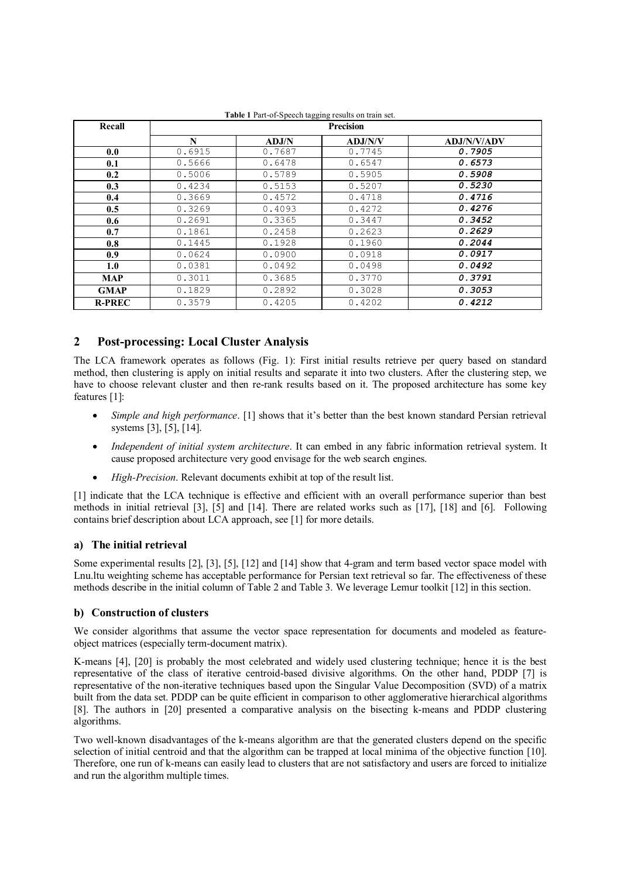| Recall        | <b>Precision</b> |        |         |                    |  |  |  |  |  |
|---------------|------------------|--------|---------|--------------------|--|--|--|--|--|
|               | N                | ADJ/N  | ADJ/N/V | <b>ADJ/N/V/ADV</b> |  |  |  |  |  |
| 0.0           | 0.6915           | 0.7687 | 0.7745  | 0.7905             |  |  |  |  |  |
| 0.1           | 0.5666           | 0.6478 | 0.6547  | 0.6573             |  |  |  |  |  |
| 0.2           | 0.5006           | 0.5789 | 0.5905  | 0.5908             |  |  |  |  |  |
| 0.3           | 0.4234           | 0.5153 | 0.5207  | 0.5230             |  |  |  |  |  |
| 0.4           | 0.3669           | 0.4572 | 0.4718  | 0.4716             |  |  |  |  |  |
| 0.5           | 0.3269           | 0.4093 | 0.4272  | 0.4276             |  |  |  |  |  |
| 0.6           | 0.2691           | 0.3365 | 0.3447  | 0.3452             |  |  |  |  |  |
| 0.7           | 0.1861           | 0.2458 | 0.2623  | 0.2629             |  |  |  |  |  |
| 0.8           | 0.1445           | 0.1928 | 0.1960  | 0.2044             |  |  |  |  |  |
| 0.9           | 0.0624           | 0.0900 | 0.0918  | 0.0917             |  |  |  |  |  |
| 1.0           | 0.0381           | 0.0492 | 0.0498  | 0.0492             |  |  |  |  |  |
| <b>MAP</b>    | 0.3011           | 0.3685 | 0.3770  | 0.3791             |  |  |  |  |  |
| <b>GMAP</b>   | 0.1829           | 0.2892 | 0.3028  | 0.3053             |  |  |  |  |  |
| <b>R-PREC</b> | 0.3579           | 0.4205 | 0.4202  | 0.4212             |  |  |  |  |  |

**Table 1** Part-of-Speech tagging results on train set.

# **2 Post-processing: Local Cluster Analysis**

The LCA framework operates as follows (Fig. 1): First initial results retrieve per query based on standard method, then clustering is apply on initial results and separate it into two clusters. After the clustering step, we have to choose relevant cluster and then re-rank results based on it. The proposed architecture has some key features [1]:

- · *Simple and high performance*. [1] shows that it's better than the best known standard Persian retrieval systems [3], [5], [14].
- · *Independent of initial system architecture*. It can embed in any fabric information retrieval system. It cause proposed architecture very good envisage for the web search engines.
- · *High-Precision*. Relevant documents exhibit at top of the result list.

[1] indicate that the LCA technique is effective and efficient with an overall performance superior than best methods in initial retrieval [3], [5] and [14]. There are related works such as [17], [18] and [6]. Following contains brief description about LCA approach, see [1] for more details.

## **a) The initial retrieval**

Some experimental results [2], [3], [5], [12] and [14] show that 4-gram and term based vector space model with Lnu.ltu weighting scheme has acceptable performance for Persian text retrieval so far. The effectiveness of these methods describe in the initial column of Table 2 and Table 3. We leverage Lemur toolkit [12] in this section.

## **b) Construction of clusters**

We consider algorithms that assume the vector space representation for documents and modeled as featureobject matrices (especially term-document matrix).

K-means [4], [20] is probably the most celebrated and widely used clustering technique; hence it is the best representative of the class of iterative centroid-based divisive algorithms. On the other hand, PDDP [7] is representative of the non-iterative techniques based upon the Singular Value Decomposition (SVD) of a matrix built from the data set. PDDP can be quite efficient in comparison to other agglomerative hierarchical algorithms [8]. The authors in [20] presented a comparative analysis on the bisecting k-means and PDDP clustering algorithms.

Two well-known disadvantages of the k-means algorithm are that the generated clusters depend on the specific selection of initial centroid and that the algorithm can be trapped at local minima of the objective function [10]. Therefore, one run of k-means can easily lead to clusters that are not satisfactory and users are forced to initialize and run the algorithm multiple times.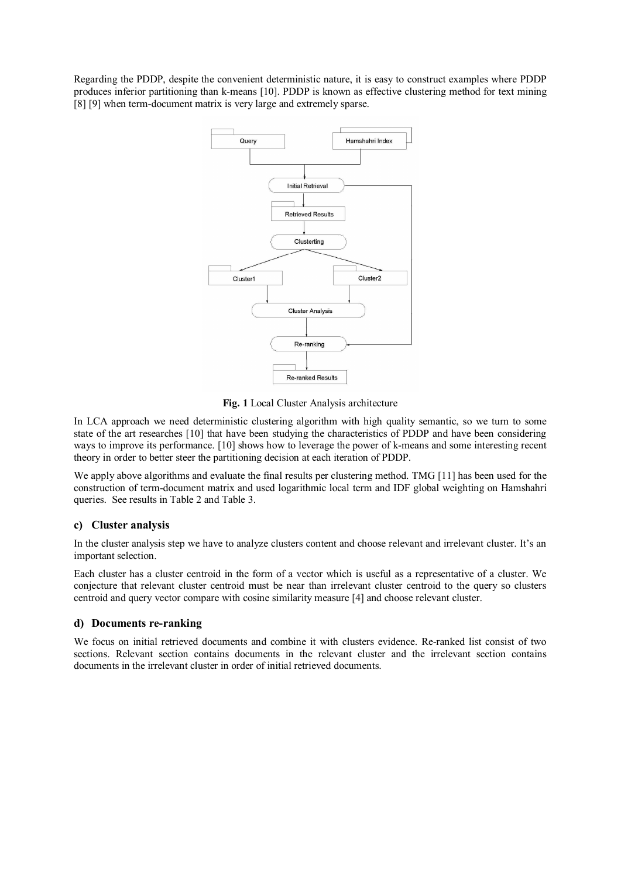Regarding the PDDP, despite the convenient deterministic nature, it is easy to construct examples where PDDP produces inferior partitioning than k-means [10]. PDDP is known as effective clustering method for text mining [8] [9] when term-document matrix is very large and extremely sparse.



**Fig. 1** Local Cluster Analysis architecture

In LCA approach we need deterministic clustering algorithm with high quality semantic, so we turn to some state of the art researches [10] that have been studying the characteristics of PDDP and have been considering ways to improve its performance. [10] shows how to leverage the power of k-means and some interesting recent theory in order to better steer the partitioning decision at each iteration of PDDP.

We apply above algorithms and evaluate the final results per clustering method. TMG [11] has been used for the construction of term-document matrix and used logarithmic local term and IDF global weighting on Hamshahri queries. See results in Table 2 and Table 3.

## **c) Cluster analysis**

In the cluster analysis step we have to analyze clusters content and choose relevant and irrelevant cluster. It's an important selection.

Each cluster has a cluster centroid in the form of a vector which is useful as a representative of a cluster. We conjecture that relevant cluster centroid must be near than irrelevant cluster centroid to the query so clusters centroid and query vector compare with cosine similarity measure [4] and choose relevant cluster.

## **d) Documents re-ranking**

We focus on initial retrieved documents and combine it with clusters evidence. Re-ranked list consist of two sections. Relevant section contains documents in the relevant cluster and the irrelevant section contains documents in the irrelevant cluster in order of initial retrieved documents.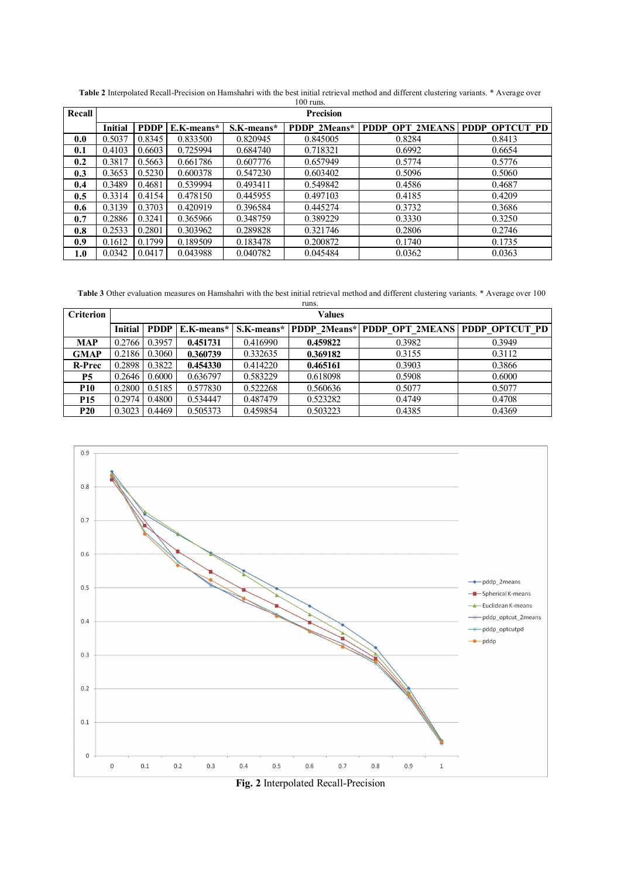| Recall | <b>Precision</b> |             |            |            |              |                                |        |  |  |  |  |
|--------|------------------|-------------|------------|------------|--------------|--------------------------------|--------|--|--|--|--|
|        | <b>Initial</b>   | <b>PDDP</b> | E.K-means* | S.K-means* | PDDP 2Means* | PDDP OPT 2MEANS PDDP OPTCUT PD |        |  |  |  |  |
| 0.0    | 0.5037           | 0.8345      | 0.833500   | 0.820945   | 0.845005     | 0.8284                         | 0.8413 |  |  |  |  |
| 0.1    | 0.4103           | 0.6603      | 0.725994   | 0.684740   | 0.718321     | 0.6992                         | 0.6654 |  |  |  |  |
| 0.2    | 0.3817           | 0.5663      | 0.661786   | 0.607776   | 0.657949     | 0.5774                         | 0.5776 |  |  |  |  |
| 0.3    | 0.3653           | 0.5230      | 0.600378   | 0.547230   | 0.603402     | 0.5096                         | 0.5060 |  |  |  |  |
| 0.4    | 0.3489           | 0.4681      | 0.539994   | 0.493411   | 0.549842     | 0.4586                         | 0.4687 |  |  |  |  |
| 0.5    | 0.3314           | 0.4154      | 0.478150   | 0.445955   | 0.497103     | 0.4185                         | 0.4209 |  |  |  |  |
| 0.6    | 0.3139           | 0.3703      | 0.420919   | 0.396584   | 0.445274     | 0.3732                         | 0.3686 |  |  |  |  |
| 0.7    | 0.2886           | 0.3241      | 0.365966   | 0.348759   | 0.389229     | 0.3330                         | 0.3250 |  |  |  |  |
| 0.8    | 0.2533           | 0.2801      | 0.303962   | 0.289828   | 0.321746     | 0.2806                         | 0.2746 |  |  |  |  |
| 0.9    | 0.1612           | 0.1799      | 0.189509   | 0.183478   | 0.200872     | 0.1740                         | 0.1735 |  |  |  |  |
| 1.0    | 0.0342           | 0.0417      | 0.043988   | 0.040782   | 0.045484     | 0.0362                         | 0.0363 |  |  |  |  |

**Table 2** Interpolated Recall-Precision on Hamshahri with the best initial retrieval method and different clustering variants. \* Average over 100 runs.

**Table 3** Other evaluation measures on Hamshahri with the best initial retrieval method and different clustering variants. \* Average over 100

| runs.            |           |             |            |          |          |                                                        |        |  |  |  |  |
|------------------|-----------|-------------|------------|----------|----------|--------------------------------------------------------|--------|--|--|--|--|
| <b>Criterion</b> | Values    |             |            |          |          |                                                        |        |  |  |  |  |
|                  | Initial l | <b>PDDP</b> | E.K-means* |          |          | S.K-means* PDDP 2Means* PDDP OPT 2MEANS PDDP OPTCUT PD |        |  |  |  |  |
| <b>MAP</b>       | 0.2766    | 0.3957      | 0.451731   | 0.416990 | 0.459822 | 0.3982                                                 | 0.3949 |  |  |  |  |
| <b>GMAP</b>      | 0.2186    | 0.3060      | 0.360739   | 0.332635 | 0.369182 | 0.3155                                                 | 0.3112 |  |  |  |  |
| R-Prec           | 0.2898    | 0.3822      | 0.454330   | 0.414220 | 0.465161 | 0.3903                                                 | 0.3866 |  |  |  |  |
| <b>P5</b>        | 0.2646    | 0.6000      | 0.636797   | 0.583229 | 0.618098 | 0.5908                                                 | 0.6000 |  |  |  |  |
| <b>P10</b>       | 0.2800    | 0.5185      | 0.577830   | 0.522268 | 0.560636 | 0.5077                                                 | 0.5077 |  |  |  |  |
| P <sub>15</sub>  | 0.2974    | 0.4800      | 0.534447   | 0.487479 | 0.523282 | 0.4749                                                 | 0.4708 |  |  |  |  |
| <b>P20</b>       | 0.3023    | 0.4469      | 0.505373   | 0.459854 | 0.503223 | 0.4385                                                 | 0.4369 |  |  |  |  |



**Fig. 2** Interpolated Recall-Precision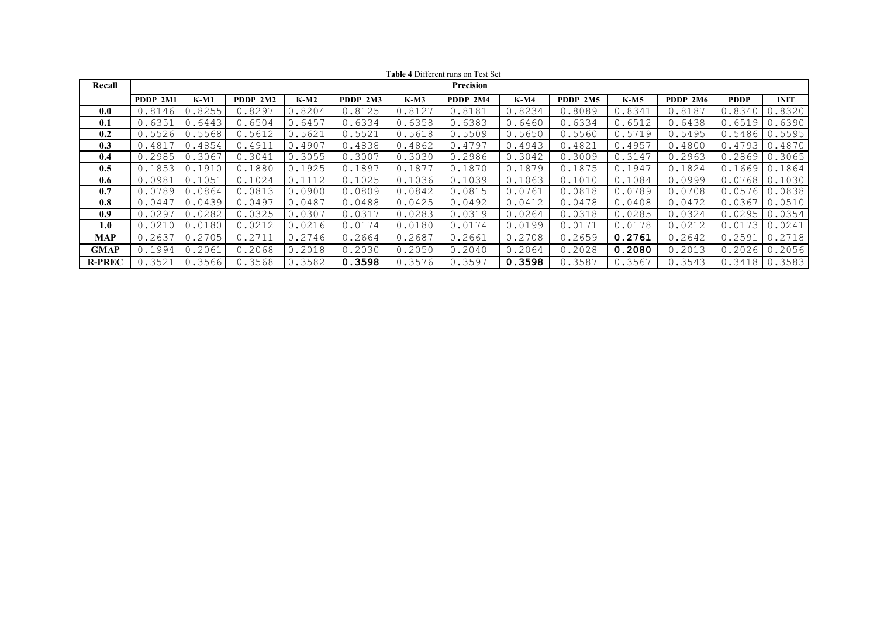|               | <b>Table 4 Different runs on Test Set</b> |        |          |             |          |             |          |             |          |        |          |        |             |
|---------------|-------------------------------------------|--------|----------|-------------|----------|-------------|----------|-------------|----------|--------|----------|--------|-------------|
| Recall        | Precision                                 |        |          |             |          |             |          |             |          |        |          |        |             |
|               | PDDP 2M1                                  | K-M1   | PDDP 2M2 | <b>K-M2</b> | PDDP 2M3 | <b>K-M3</b> | PDDP 2M4 | <b>K-M4</b> | PDDP 2M5 | $K-M5$ | PDDP 2M6 | PDDP   | <b>INIT</b> |
| 0.0           | 0.8146                                    | 0.8255 | 0.8297   | 0.8204      | 0.8125   | 0.8127      | 0.8181   | 0.8234      | 0.8089   | 0.8341 | 0.8187   | 0.8340 | 0.8320      |
| 0.1           | 0.6351                                    | 0.6443 | 0.6504   | 0.6457      | 0.6334   | 0.6358      | 0.6383   | 0.6460      | 0.6334   | 0.6512 | 0.6438   | 0.6519 | 0.6390      |
| 0.2           | 0.5526                                    | 0.5568 | 0.5612   | 0.5621      | 0.5521   | 0.5618      | 0.5509   | 0.5650      | 0.5560   | 0.5719 | 0.5495   | 0.5486 | 0.5595      |
| 0.3           | 0.4817                                    | 0.4854 | 0.4911   | 0.4907      | 0.4838   | 0.4862      | 0.4797   | 0.4943      | 0.4821   | 0.4957 | 0.4800   | 0.4793 | 0.4870      |
| 0.4           | 0.2985                                    | 0.3067 | 0.3041   | 0.3055      | 0.3007   | 0.3030      | 0.2986   | 0.3042      | 0.3009   | 0.3147 | 0.2963   | 0.2869 | 0.3065      |
| 0.5           | 0.1853                                    | 0.1910 | 0.1880   | 0.1925      | 0.1897   | 0.1877      | 0.1870   | 0.1879      | 0.1875   | 0.1947 | 0.1824   | 0.1669 | 0.1864      |
| 0.6           | 0.0981                                    | 0.1051 | 0.1024   | 0.1112      | 0.1025   | 0.1036      | 0.1039   | 0.1063      | 0.1010   | 0.1084 | 0.0999   | 0.0768 | 0.1030      |
| 0.7           | 0.0789                                    | 0.0864 | 0.0813   | 0.0900      | 0.0809   | 0.0842      | 0.0815   | 0.0761      | 0.0818   | 0.0789 | 0.0708   | 0.0576 | 0.0838      |
| 0.8           | 0.0447                                    | 0.0439 | 0.0497   | 0.0487      | 0.0488   | 0.0425      | 0.0492   | 0.0412      | 0.0478   | 0.0408 | 0.0472   | 0.0367 | 0.0510      |
| 0.9           | 0.0297                                    | 0.0282 | 0.0325   | 0.0307      | 0.0317   | 0.0283      | 0.0319   | 0.0264      | 0.0318   | 0.0285 | 0.0324   | 0.0295 | 0.0354      |
| 1.0           | 0.0210                                    | 0.0180 | 0.0212   | 0.0216      | 0.0174   | 0.0180      | 0.0174   | 0.0199      | 0.0171   | 0.0178 | 0.0212   | 0.0173 | 0.0241      |
| MAP           | 0.2637                                    | 0.2705 | 0.2711   | 0.2746      | 0.2664   | 0.2687      | 0.2661   | 0.2708      | 0.2659   | 0.2761 | 0.2642   | 0.2591 | 0.2718      |
| <b>GMAP</b>   | 0.1994                                    | 0.2061 | 0.2068   | 0.2018      | 0.2030   | 0.2050      | 0.2040   | 0.2064      | 0.2028   | 0.2080 | 0.2013   | 0.2026 | 0.2056      |
| <b>R-PREC</b> | 0.3521                                    | 0.3566 | 0.3568   | 0.3582      | 0.3598   | 0.3576      | 0.3597   | 0.3598      | 0.3587   | 0.3567 | 0.3543   | 0.3418 | 0.3583      |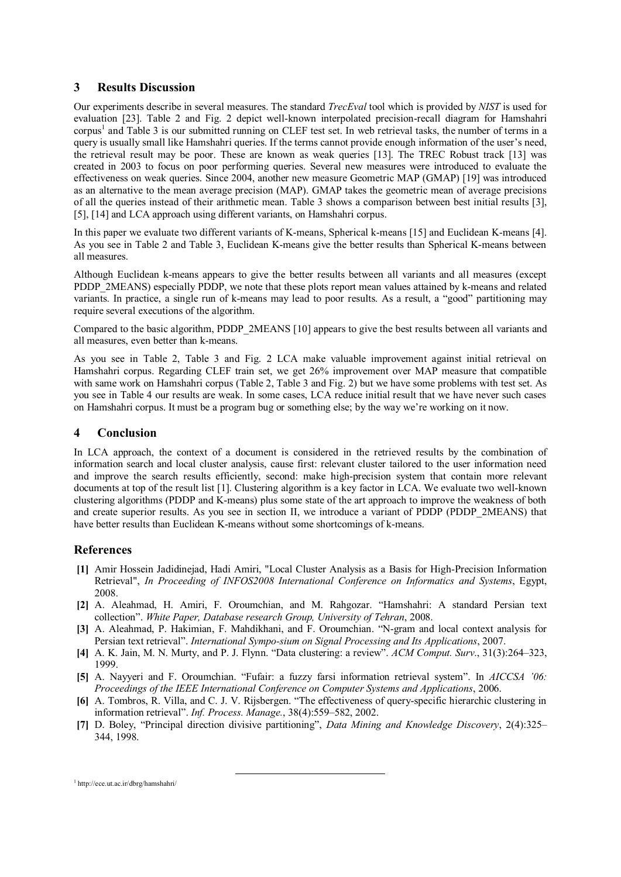#### **3 Results Discussion**

Our experiments describe in several measures. The standard *TrecEval* tool which is provided by *NIST* is used for evaluation [23]. Table 2 and Fig. 2 depict well-known interpolated precision-recall diagram for Hamshahri corpus<sup>1</sup> [a](#page-5-0)nd Table 3 is our submitted running on CLEF test set. In web retrieval tasks, the number of terms in a query is usually small like Hamshahri queries. If the terms cannot provide enough information of the user's need, the retrieval result may be poor. These are known as weak queries [13]. The TREC Robust track [13] was created in 2003 to focus on poor performing queries. Several new measures were introduced to evaluate the effectiveness on weak queries. Since 2004, another new measure Geometric MAP (GMAP) [19] was introduced as an alternative to the mean average precision (MAP). GMAP takes the geometric mean of average precisions of all the queries instead of their arithmetic mean. Table 3 shows a comparison between best initial results [3], [5], [14] and LCA approach using different variants, on Hamshahri corpus.

In this paper we evaluate two different variants of K-means, Spherical k-means [15] and Euclidean K-means [4]. As you see in Table 2 and Table 3, Euclidean K-means give the better results than Spherical K-means between all measures.

Although Euclidean k-means appears to give the better results between all variants and all measures (except PDDP\_2MEANS) especially PDDP, we note that these plots report mean values attained by k-means and related variants. In practice, a single run of k-means may lead to poor results. As a result, a "good" partitioning may require several executions of the algorithm.

Compared to the basic algorithm, PDDP\_2MEANS [10] appears to give the best results between all variants and all measures, even better than k-means.

As you see in Table 2, Table 3 and Fig. 2 LCA make valuable improvement against initial retrieval on Hamshahri corpus. Regarding CLEF train set, we get 26% improvement over MAP measure that compatible with same work on Hamshahri corpus (Table 2, Table 3 and Fig. 2) but we have some problems with test set. As you see in Table 4 our results are weak. In some cases, LCA reduce initial result that we have never such cases on Hamshahri corpus. It must be a program bug or something else; by the way we're working on it now.

## **4 Conclusion**

In LCA approach, the context of a document is considered in the retrieved results by the combination of information search and local cluster analysis, cause first: relevant cluster tailored to the user information need and improve the search results efficiently, second: make high-precision system that contain more relevant documents at top of the result list [1]. Clustering algorithm is a key factor in LCA. We evaluate two well-known clustering algorithms (PDDP and K-means) plus some state of the art approach to improve the weakness of both and create superior results. As you see in section II, we introduce a variant of PDDP (PDDP\_2MEANS) that have better results than Euclidean K-means without some shortcomings of k-means.

## **References**

- **[1]** Amir Hossein Jadidinejad, Hadi Amiri, "Local Cluster Analysis as a Basis for High-Precision Information Retrieval", *In Proceeding of INFOS2008 International Conference on Informatics and Systems*, Egypt, 2008.
- **[2]** A. Aleahmad, H. Amiri, F. Oroumchian, and M. Rahgozar. "Hamshahri: A standard Persian text collection". *White Paper, Database research Group, University of Tehran*, 2008.
- **[3]** A. Aleahmad, P. Hakimian, F. Mahdikhani, and F. Oroumchian. "N-gram and local context analysis for Persian text retrieval". *International Sympo-sium on Signal Processing and Its Applications*, 2007.
- **[4]** A. K. Jain, M. N. Murty, and P. J. Flynn. "Data clustering: a review". *ACM Comput. Surv*., 31(3):264–323, 1999.
- **[5]** A. Nayyeri and F. Oroumchian. "Fufair: a fuzzy farsi information retrieval system". In *AICCSA '06: Proceedings of the IEEE International Conference on Computer Systems and Applications*, 2006.
- **[6]** A. Tombros, R. Villa, and C. J. V. Rijsbergen. "The effectiveness of query-specific hierarchic clustering in information retrieval". *Inf. Process. Manage.*, 38(4):559–582, 2002.
- **[7]** D. Boley, "Principal direction divisive partitioning", *Data Mining and Knowledge Discovery*, 2(4):325– 344, 1998.

<span id="page-5-0"></span>1 http://ece.ut.ac.ir/dbrg/hamshahri/